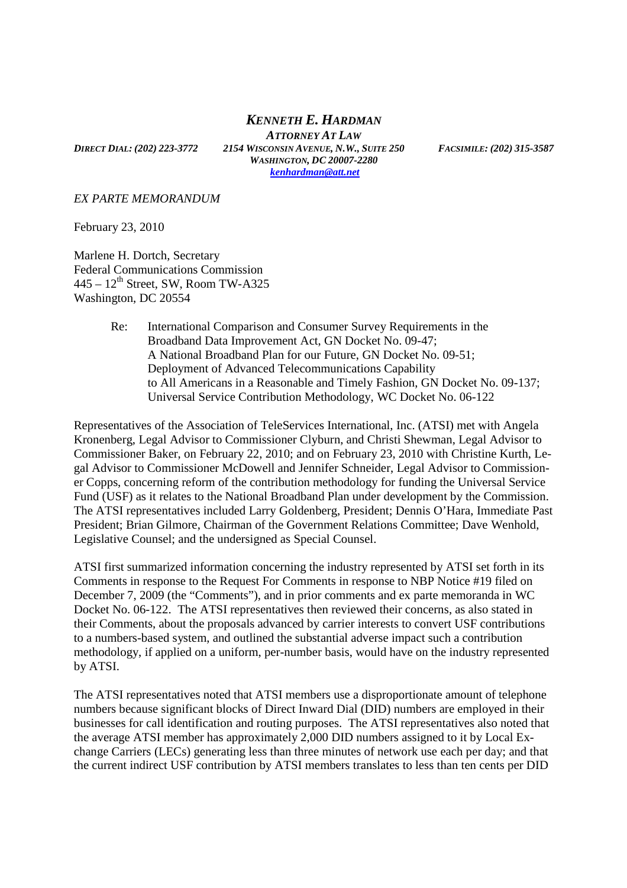## *KENNETH E. HARDMAN*

*ATTORNEY AT LAW* DIRECT DIAL: (202) 223-3772 2154 WISCONSIN AVENUE, N.W., SUITE 250 FACSIMILE: (202) 315-3587 *WASHINGTON, DC 20007-2280 kenhardman@att.net*

## *EX PARTE MEMORANDUM*

February 23, 2010

Marlene H. Dortch, Secretary Federal Communications Commission  $445 - 12$ <sup>th</sup> Street, SW, Room TW-A325 Washington, DC 20554

> Re: International Comparison and Consumer Survey Requirements in the Broadband Data Improvement Act, GN Docket No. 09-47; A National Broadband Plan for our Future, GN Docket No. 09-51; Deployment of Advanced Telecommunications Capability to All Americans in a Reasonable and Timely Fashion, GN Docket No. 09-137; Universal Service Contribution Methodology, WC Docket No. 06-122

Representatives of the Association of TeleServices International, Inc. (ATSI) met with Angela Kronenberg, Legal Advisor to Commissioner Clyburn, and Christi Shewman, Legal Advisor to Commissioner Baker, on February 22, 2010; and on February 23, 2010 with Christine Kurth, Legal Advisor to Commissioner McDowell and Jennifer Schneider, Legal Advisor to Commissioner Copps, concerning reform of the contribution methodology for funding the Universal Service Fund (USF) as it relates to the National Broadband Plan under development by the Commission. The ATSI representatives included Larry Goldenberg, President; Dennis O'Hara, Immediate Past President; Brian Gilmore, Chairman of the Government Relations Committee; Dave Wenhold, Legislative Counsel; and the undersigned as Special Counsel.

ATSI first summarized information concerning the industry represented by ATSI set forth in its Comments in response to the Request For Comments in response to NBP Notice #19 filed on December 7, 2009 (the "Comments"), and in prior comments and ex parte memoranda in WC Docket No. 06-122. The ATSI representatives then reviewed their concerns, as also stated in their Comments, about the proposals advanced by carrier interests to convert USF contributions to a numbers-based system, and outlined the substantial adverse impact such a contribution methodology, if applied on a uniform, per-number basis, would have on the industry represented by ATSI.

The ATSI representatives noted that ATSI members use a disproportionate amount of telephone numbers because significant blocks of Direct Inward Dial (DID) numbers are employed in their businesses for call identification and routing purposes. The ATSI representatives also noted that the average ATSI member has approximately 2,000 DID numbers assigned to it by Local Exchange Carriers (LECs) generating less than three minutes of network use each per day; and that the current indirect USF contribution by ATSI members translates to less than ten cents per DID